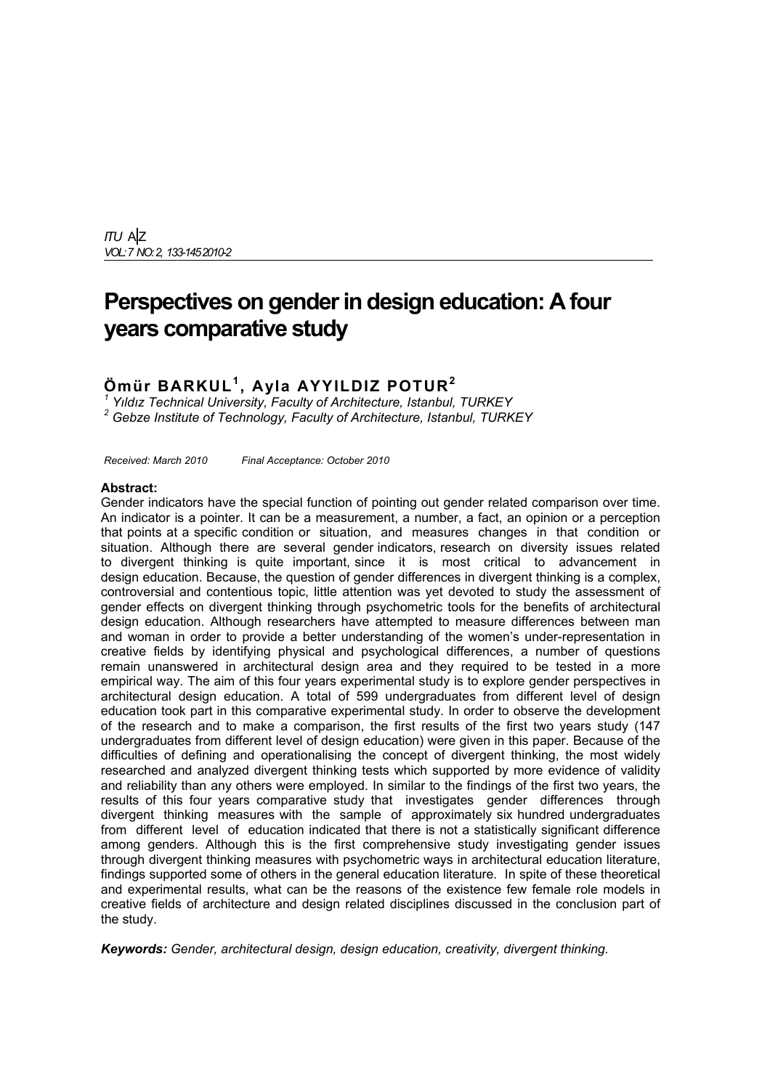*ITU* A|Z *VOL: 7 NO: 2, 133-145 2010-2*

# **Perspectives on gender in design education: A four years comparative study**

# **Ömür BARKUL<sup>1</sup> , Ayla AYYILDIZ POTUR<sup>2</sup>**

<sup>1</sup> Yıldız Technical University, Faculty of Architecture, Istanbul, TURKEY<br><sup>2</sup> Cebze Institute of Technology, Faculty of Architecture, Istanbul, TURK  *Gebze Institute of Technology, Faculty of Architecture, Istanbul, TURKEY* 

*Received: March 2010 Final Acceptance: October 2010*

### **Abstract:**

Gender indicators have the special function of pointing out gender related comparison over time. An indicator is a pointer. It can be a measurement, a number, a fact, an opinion or a perception that points at a specific condition or situation, and measures changes in that condition or situation. Although there are several gender indicators, research on diversity issues related to divergent thinking is quite important, since it is most critical to advancement in design education. Because, the question of gender differences in divergent thinking is a complex, controversial and contentious topic, little attention was yet devoted to study the assessment of gender effects on divergent thinking through psychometric tools for the benefits of architectural design education. Although researchers have attempted to measure differences between man and woman in order to provide a better understanding of the women's under-representation in creative fields by identifying physical and psychological differences, a number of questions remain unanswered in architectural design area and they required to be tested in a more empirical way. The aim of this four years experimental study is to explore gender perspectives in architectural design education. A total of 599 undergraduates from different level of design education took part in this comparative experimental study. In order to observe the development of the research and to make a comparison, the first results of the first two years study (147 undergraduates from different level of design education) were given in this paper. Because of the difficulties of defining and operationalising the concept of divergent thinking, the most widely researched and analyzed divergent thinking tests which supported by more evidence of validity and reliability than any others were employed. In similar to the findings of the first two years, the results of this four years comparative study that investigates gender differences through divergent thinking measures with the sample of approximately six hundred undergraduates from different level of education indicated that there is not a statistically significant difference among genders. Although this is the first comprehensive study investigating gender issues through divergent thinking measures with psychometric ways in architectural education literature, findings supported some of others in the general education literature. In spite of these theoretical and experimental results, what can be the reasons of the existence few female role models in creative fields of architecture and design related disciplines discussed in the conclusion part of the study.

*Keywords: Gender, architectural design, design education, creativity, divergent thinking.*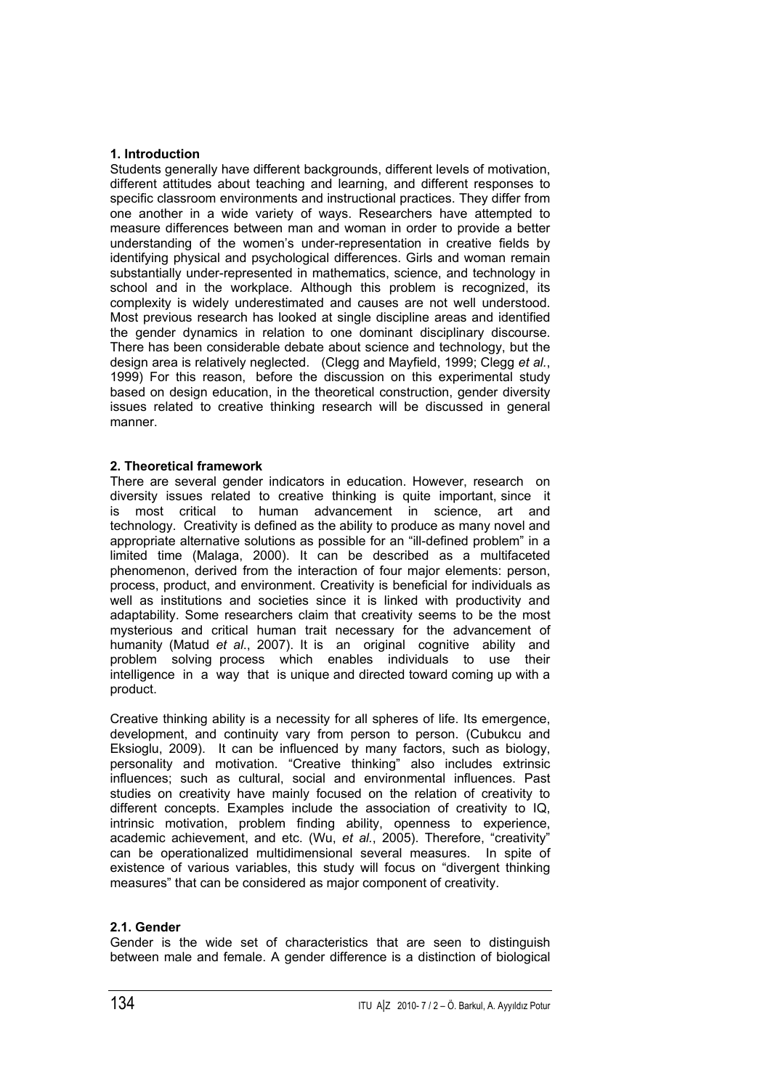# **1. Introduction**

Students generally have different backgrounds, different levels of motivation, different attitudes about teaching and learning, and different responses to specific classroom environments and instructional practices. They differ from one another in a wide variety of ways. Researchers have attempted to measure differences between man and woman in order to provide a better understanding of the women's under-representation in creative fields by identifying physical and psychological differences. Girls and woman remain substantially under-represented in mathematics, science, and technology in school and in the workplace. Although this problem is recognized, its complexity is widely underestimated and causes are not well understood. Most previous research has looked at single discipline areas and identified the gender dynamics in relation to one dominant disciplinary discourse. There has been considerable debate about science and technology, but the design area is relatively neglected. (Clegg and Mayfield, 1999; Clegg *et al.*, 1999) For this reason, before the discussion on this experimental study based on design education, in the theoretical construction, gender diversity issues related to creative thinking research will be discussed in general manner.

# **2. Theoretical framework**

There are several gender indicators in education. However, research on diversity issues related to creative thinking is quite important, since it is most critical to human advancement in science, art and technology. Creativity is defined as the ability to produce as many novel and appropriate alternative solutions as possible for an "ill-defined problem" in a limited time (Malaga, 2000). It can be described as a multifaceted phenomenon, derived from the interaction of four major elements: person, process, product, and environment. Creativity is beneficial for individuals as well as institutions and societies since it is linked with productivity and adaptability. Some researchers claim that creativity seems to be the most mysterious and critical human trait necessary for the advancement of humanity (Matud *et al*., 2007). It is an original cognitive ability and problem solving process which enables individuals to use their intelligence in a way that is unique and directed toward coming up with a product.

Creative thinking ability is a necessity for all spheres of life. Its emergence, development, and continuity vary from person to person. (Cubukcu and Eksioglu, 2009). It can be influenced by many factors, such as biology, personality and motivation. "Creative thinking" also includes extrinsic influences; such as cultural, social and environmental influences. Past studies on creativity have mainly focused on the relation of creativity to different concepts. Examples include the association of creativity to IQ, intrinsic motivation, problem finding ability, openness to experience, academic achievement, and etc. (Wu, *et al.*, 2005). Therefore, "creativity" can be operationalized multidimensional several measures. In spite of existence of various variables, this study will focus on "divergent thinking measures" that can be considered as major component of creativity.

# **2.1. Gender**

Gender is the wide set of characteristics that are seen to distinguish between male and female. A gender difference is a distinction of biological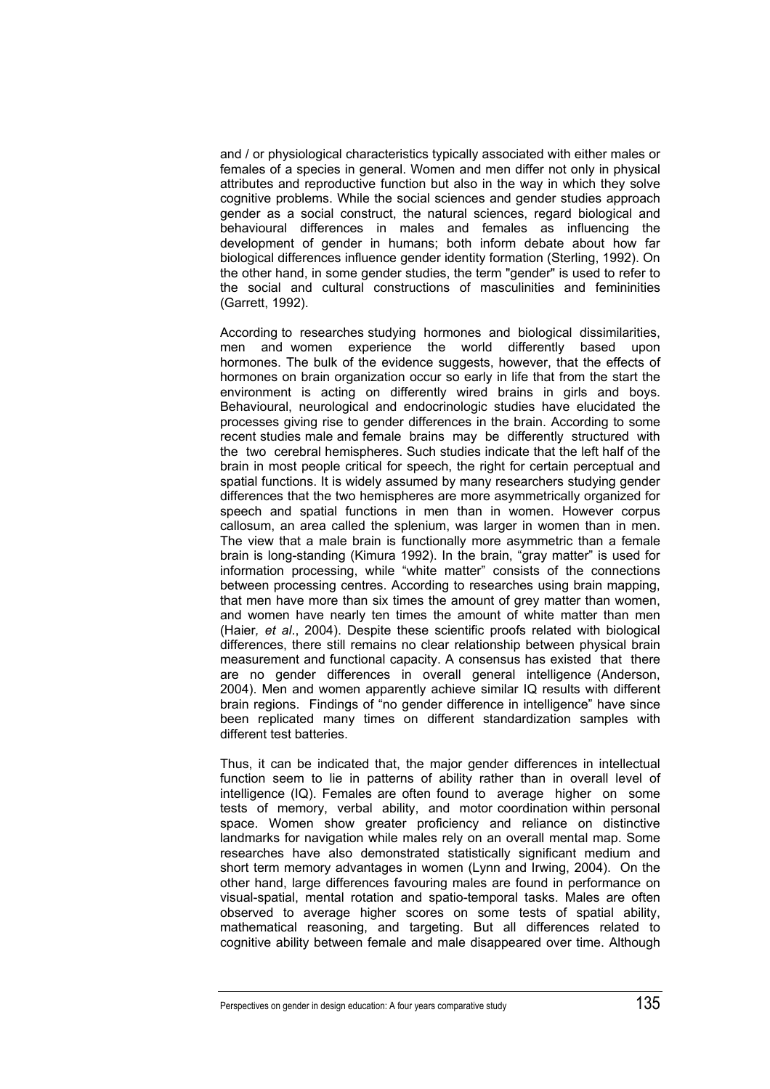and / or physiological characteristics typically associated with either males or females of a species in general. Women and men differ not only in physical attributes and reproductive function but also in the way in which they solve cognitive problems. While the social sciences and gender studies approach gender as a social construct, the natural sciences, regard biological and behavioural differences in males and females as influencing the development of gender in humans; both inform debate about how far biological differences influence gender identity formation (Sterling, 1992). On the other hand, in some gender studies, the term "gender" is used to refer to the social and cultural constructions of masculinities and femininities (Garrett, 1992).

According to researches studying hormones and biological dissimilarities, men and women experience the world differently based upon hormones. The bulk of the evidence suggests, however, that the effects of hormones on brain organization occur so early in life that from the start the environment is acting on differently wired brains in girls and boys. Behavioural, neurological and endocrinologic studies have elucidated the processes giving rise to gender differences in the brain. According to some recent studies male and female brains may be differently structured with the two cerebral hemispheres. Such studies indicate that the left half of the brain in most people critical for speech, the right for certain perceptual and spatial functions. It is widely assumed by many researchers studying gender differences that the two hemispheres are more asymmetrically organized for speech and spatial functions in men than in women. However corpus callosum, an area called the splenium, was larger in women than in men. The view that a male brain is functionally more asymmetric than a female brain is long-standing (Kimura 1992). In the brain, "gray matter" is used for information processing, while "white matter" consists of the connections between processing centres. According to researches using brain mapping, that men have more than six times the amount of grey matter than women, and women have nearly ten times the amount of white matter than men (Haier*, et al*., 2004). Despite these scientific proofs related with biological differences, there still remains no clear relationship between physical brain measurement and functional capacity. A consensus has existed that there are no gender differences in overall general intelligence (Anderson, 2004). Men and women apparently achieve similar IQ results with different brain regions. Findings of "no gender difference in intelligence" have since been replicated many times on different standardization samples with different test batteries.

Thus, it can be indicated that, the major gender differences in intellectual function seem to lie in patterns of ability rather than in overall level of intelligence (IQ). Females are often found to average higher on some tests of memory, verbal ability, and motor coordination within personal space. Women show greater proficiency and reliance on distinctive landmarks for navigation while males rely on an overall mental map. Some researches have also demonstrated statistically significant medium and short term memory advantages in women (Lynn and Irwing, 2004). On the other hand, large differences favouring males are found in performance on visual-spatial, mental rotation and spatio-temporal tasks. Males are often observed to average higher scores on some tests of spatial ability, mathematical reasoning, and targeting. But all differences related to cognitive ability between female and male disappeared over time. Although

Perspectives on gender in design education: A four years comparative study135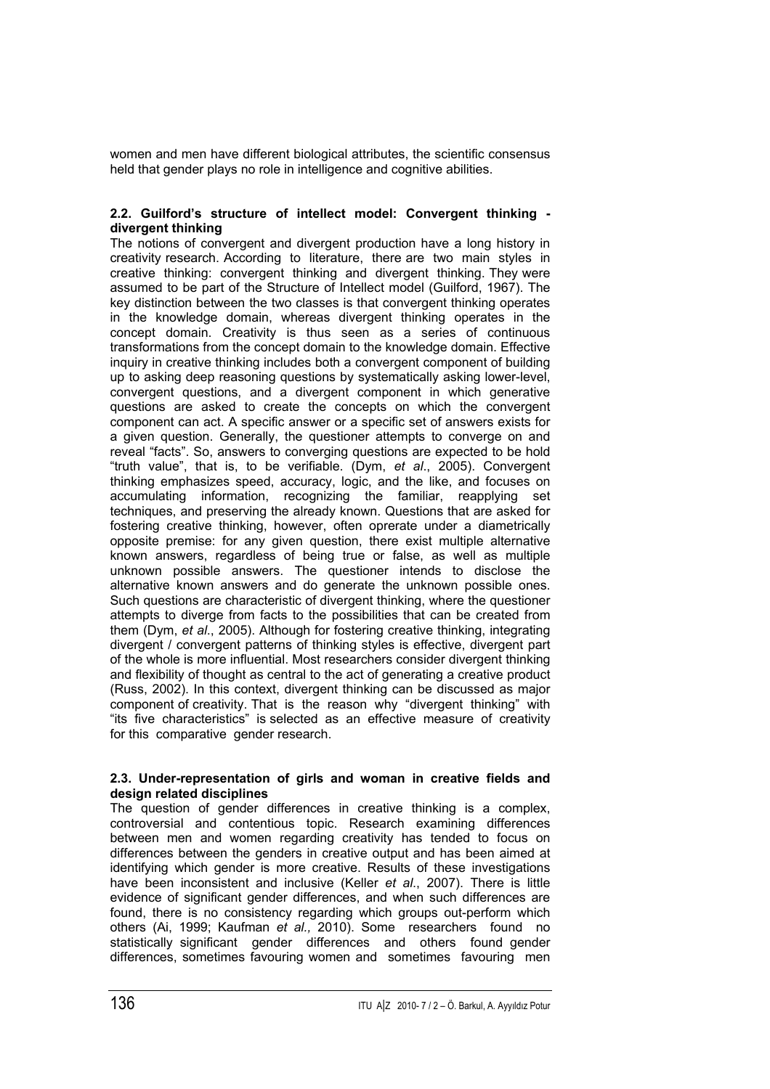women and men have different biological attributes, the scientific consensus held that gender plays no role in intelligence and cognitive abilities.

# **2.2. Guilford's structure of intellect model: Convergent thinking divergent thinking**

The notions of convergent and divergent production have a long history in creativity research. According to literature, there are two main styles in creative thinking: convergent thinking and divergent thinking. They were assumed to be part of the Structure of Intellect model (Guilford, 1967). The key distinction between the two classes is that convergent thinking operates in the knowledge domain, whereas divergent thinking operates in the concept domain. Creativity is thus seen as a series of continuous transformations from the concept domain to the knowledge domain. Effective inquiry in creative thinking includes both a convergent component of building up to asking deep reasoning questions by systematically asking lower-level, convergent questions, and a divergent component in which generative questions are asked to create the concepts on which the convergent component can act. A specific answer or a specific set of answers exists for a given question. Generally, the questioner attempts to converge on and reveal "facts". So, answers to converging questions are expected to be hold "truth value", that is, to be verifiable. (Dym, *et al*., 2005). Convergent thinking emphasizes speed, accuracy, logic, and the like, and focuses on accumulating information, recognizing the familiar, reapplying set techniques, and preserving the already known. Questions that are asked for fostering creative thinking, however, often oprerate under a diametrically opposite premise: for any given question, there exist multiple alternative known answers, regardless of being true or false, as well as multiple unknown possible answers. The questioner intends to disclose the alternative known answers and do generate the unknown possible ones. Such questions are characteristic of divergent thinking, where the questioner attempts to diverge from facts to the possibilities that can be created from them (Dym, *et al*., 2005). Although for fostering creative thinking, integrating divergent / convergent patterns of thinking styles is effective, divergent part of the whole is more influential. Most researchers consider divergent thinking and flexibility of thought as central to the act of generating a creative product (Russ, 2002). In this context, divergent thinking can be discussed as major component of creativity. That is the reason why "divergent thinking" with "its five characteristics" is selected as an effective measure of creativity for this comparative gender research.

# **2.3. Under-representation of girls and woman in creative fields and design related disciplines**

The question of gender differences in creative thinking is a complex, controversial and contentious topic. Research examining differences between men and women regarding creativity has tended to focus on differences between the genders in creative output and has been aimed at identifying which gender is more creative. Results of these investigations have been inconsistent and inclusive (Keller *et al*., 2007). There is little evidence of significant gender differences, and when such differences are found, there is no consistency regarding which groups out-perform which others (Ai, 1999; Kaufman *et al.,* 2010). Some researchers found no statistically significant gender differences and others found gender differences, sometimes favouring women and sometimes favouring men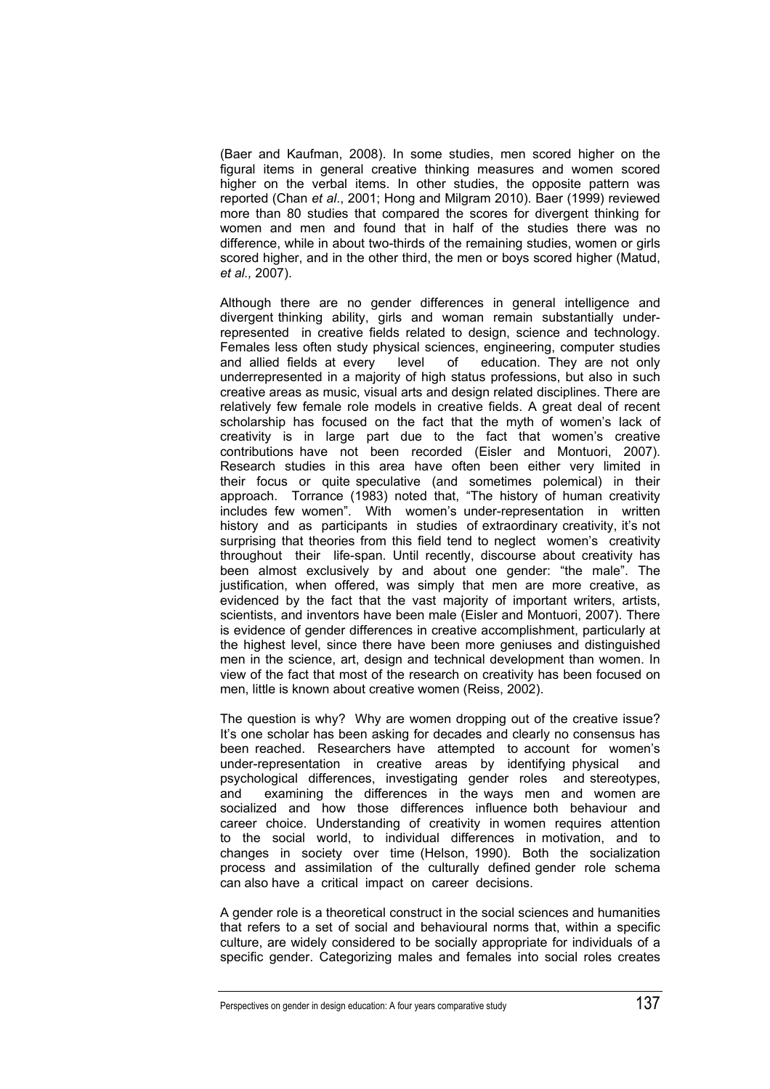(Baer and Kaufman, 2008). In some studies, men scored higher on the figural items in general creative thinking measures and women scored higher on the verbal items. In other studies, the opposite pattern was reported (Chan *et al*., 2001; Hong and Milgram 2010). Baer (1999) reviewed more than 80 studies that compared the scores for divergent thinking for women and men and found that in half of the studies there was no difference, while in about two-thirds of the remaining studies, women or girls scored higher, and in the other third, the men or boys scored higher (Matud, *et al.,* 2007).

Although there are no gender differences in general intelligence and divergent thinking ability, girls and woman remain substantially underrepresented in creative fields related to design, science and technology. Females less often study physical sciences, engineering, computer studies and allied fields at every level of education. They are not only underrepresented in a majority of high status professions, but also in such creative areas as music, visual arts and design related disciplines. There are relatively few female role models in creative fields. A great deal of recent scholarship has focused on the fact that the myth of women's lack of creativity is in large part due to the fact that women's creative contributions have not been recorded (Eisler and Montuori, 2007). Research studies in this area have often been either very limited in their focus or quite speculative (and sometimes polemical) in their approach. Torrance (1983) noted that, "The history of human creativity includes few women". With women's under-representation in written history and as participants in studies of extraordinary creativity, it's not surprising that theories from this field tend to neglect women's creativity throughout their life-span. Until recently, discourse about creativity has been almost exclusively by and about one gender: "the male". The justification, when offered, was simply that men are more creative, as evidenced by the fact that the vast majority of important writers, artists, scientists, and inventors have been male (Eisler and Montuori, 2007). There is evidence of gender differences in creative accomplishment, particularly at the highest level, since there have been more geniuses and distinguished men in the science, art, design and technical development than women. In view of the fact that most of the research on creativity has been focused on men, little is known about creative women (Reiss, 2002).

The question is why? Why are women dropping out of the creative issue? It's one scholar has been asking for decades and clearly no consensus has been reached. Researchers have attempted to account for women's under-representation in creative areas by identifying physical and psychological differences, investigating gender roles and stereotypes, and examining the differences in the ways men and women are socialized and how those differences influence both behaviour and career choice. Understanding of creativity in women requires attention to the social world, to individual differences in motivation, and to changes in society over time (Helson, 1990). Both the socialization process and assimilation of the culturally defined gender role schema can also have a critical impact on career decisions.

A gender role is a theoretical construct in the social sciences and humanities that refers to a set of social and behavioural norms that, within a specific culture, are widely considered to be socially appropriate for individuals of a specific gender. Categorizing males and females into social roles creates

Perspectives on gender in design education: A four years comparative study137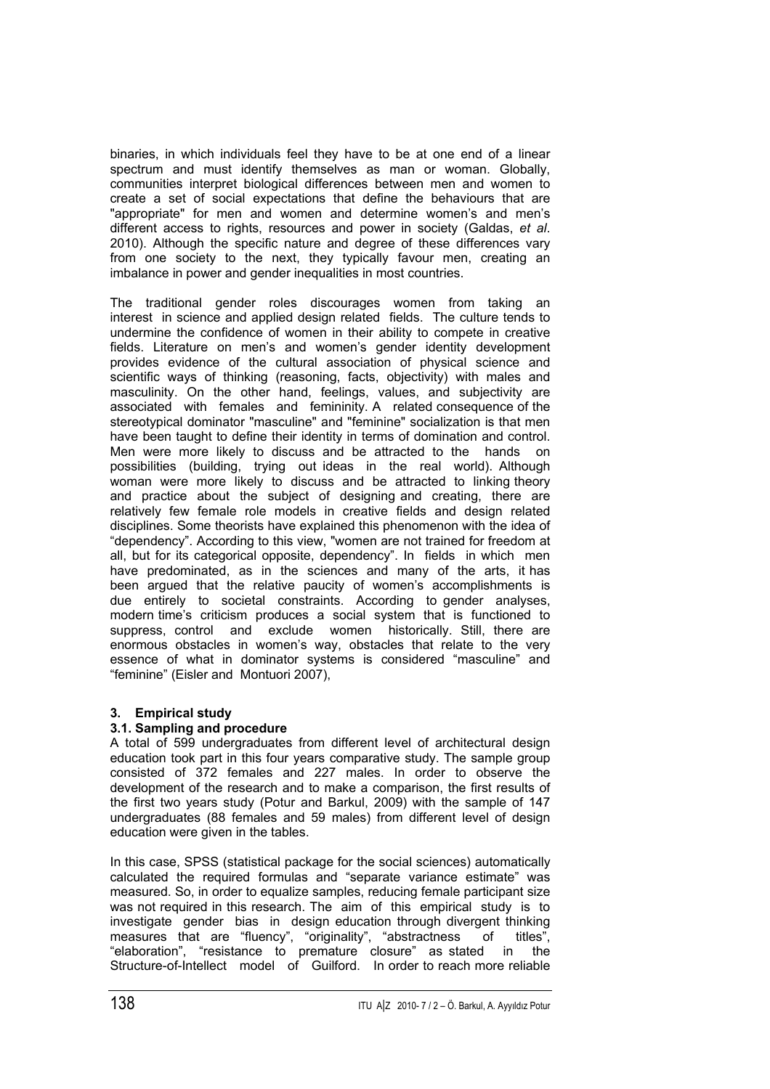binaries, in which individuals feel they have to be at one end of a linear spectrum and must identify themselves as man or woman. Globally, communities interpret biological differences between men and women to create a set of social expectations that define the behaviours that are "appropriate" for men and women and determine women's and men's different access to rights, resources and power in society (Galdas, *et al*. 2010). Although the specific nature and degree of these differences vary from one society to the next, they typically favour men, creating an imbalance in power and gender inequalities in most countries.

The traditional gender roles discourages women from taking an interest in science and applied design related fields. The culture tends to undermine the confidence of women in their ability to compete in creative fields. Literature on men's and women's gender identity development provides evidence of the cultural association of physical science and scientific ways of thinking (reasoning, facts, objectivity) with males and masculinity. On the other hand, feelings, values, and subjectivity are associated with females and femininity. A related consequence of the stereotypical dominator "masculine" and "feminine" socialization is that men have been taught to define their identity in terms of domination and control. Men were more likely to discuss and be attracted to the hands on possibilities (building, trying out ideas in the real world). Although woman were more likely to discuss and be attracted to linking theory and practice about the subject of designing and creating, there are relatively few female role models in creative fields and design related disciplines. Some theorists have explained this phenomenon with the idea of "dependency". According to this view, "women are not trained for freedom at all, but for its categorical opposite, dependency". In fields in which men have predominated, as in the sciences and many of the arts, it has been argued that the relative paucity of women's accomplishments is due entirely to societal constraints. According to gender analyses, modern time's criticism produces a social system that is functioned to suppress, control and exclude women historically. Still, there are enormous obstacles in women's way, obstacles that relate to the very essence of what in dominator systems is considered "masculine" and "feminine" (Eisler and Montuori 2007),

# **3. Empirical study**

# **3.1. Sampling and procedure**

A total of 599 undergraduates from different level of architectural design education took part in this four years comparative study. The sample group consisted of 372 females and 227 males. In order to observe the development of the research and to make a comparison, the first results of the first two years study (Potur and Barkul, 2009) with the sample of 147 undergraduates (88 females and 59 males) from different level of design education were given in the tables.

In this case, SPSS (statistical package for the social sciences) automatically calculated the required formulas and "separate variance estimate" was measured. So, in order to equalize samples, reducing female participant size was not required in this research. The aim of this empirical study is to investigate gender bias in design education through divergent thinking measures that are "fluency", "originality", "abstractness of titles", "elaboration", "resistance to premature closure" as stated in the Structure-of-Intellect model of Guilford. In order to reach more reliable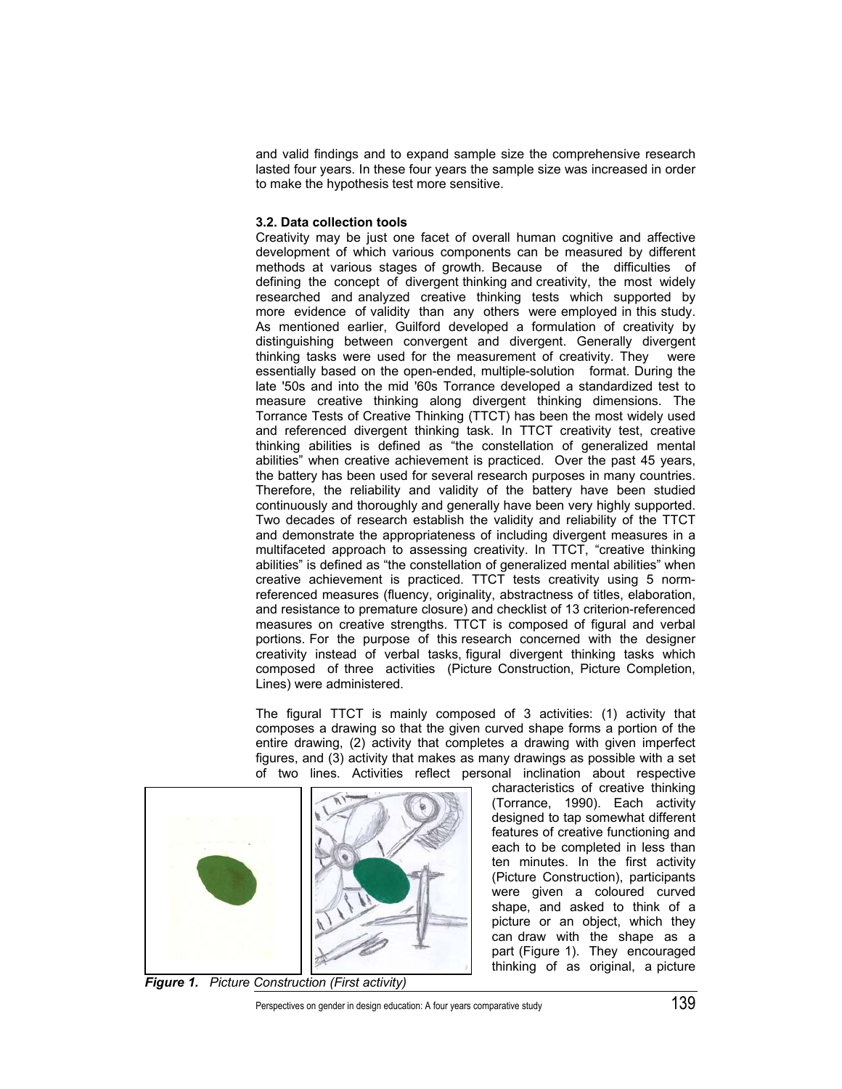and valid findings and to expand sample size the comprehensive research lasted four years. In these four years the sample size was increased in order to make the hypothesis test more sensitive.

#### **3.2. Data collection tools**

Creativity may be just one facet of overall human cognitive and affective development of which various components can be measured by different methods at various stages of growth. Because of the difficulties of defining the concept of divergent thinking and creativity, the most widely researched and analyzed creative thinking tests which supported by more evidence of validity than any others were employed in this study. As mentioned earlier, Guilford developed a formulation of creativity by distinguishing between convergent and divergent. Generally divergent thinking tasks were used for the measurement of creativity. They were essentially based on the open-ended, multiple-solution format. During the late '50s and into the mid '60s Torrance developed a standardized test to measure creative thinking along divergent thinking dimensions. The Torrance Tests of Creative Thinking (TTCT) has been the most widely used and referenced divergent thinking task. In TTCT creativity test, creative thinking abilities is defined as "the constellation of generalized mental abilities" when creative achievement is practiced. Over the past 45 years, the battery has been used for several research purposes in many countries. Therefore, the reliability and validity of the battery have been studied continuously and thoroughly and generally have been very highly supported. Two decades of research establish the validity and reliability of the TTCT and demonstrate the appropriateness of including divergent measures in a multifaceted approach to assessing creativity. In TTCT, "creative thinking abilities" is defined as "the constellation of generalized mental abilities" when creative achievement is practiced. TTCT tests creativity using 5 normreferenced measures (fluency, originality, abstractness of titles, elaboration, and resistance to premature closure) and checklist of 13 criterion-referenced measures on creative strengths. TTCT is composed of figural and verbal portions. For the purpose of this research concerned with the designer creativity instead of verbal tasks, figural divergent thinking tasks which composed of three activities (Picture Construction, Picture Completion, Lines) were administered.

The figural TTCT is mainly composed of 3 activities: (1) activity that composes a drawing so that the given curved shape forms a portion of the entire drawing, (2) activity that completes a drawing with given imperfect figures, and (3) activity that makes as many drawings as possible with a set of two lines. Activities reflect personal inclination about respective



*Figure 1. Picture Construction (First activity)* 

characteristics of creative thinking (Torrance, 1990). Each activity designed to tap somewhat different features of creative functioning and each to be completed in less than ten minutes. In the first activity (Picture Construction), participants were given a coloured curved shape, and asked to think of a picture or an object, which they can draw with the shape as a part (Figure 1). They encouraged thinking of as original, a picture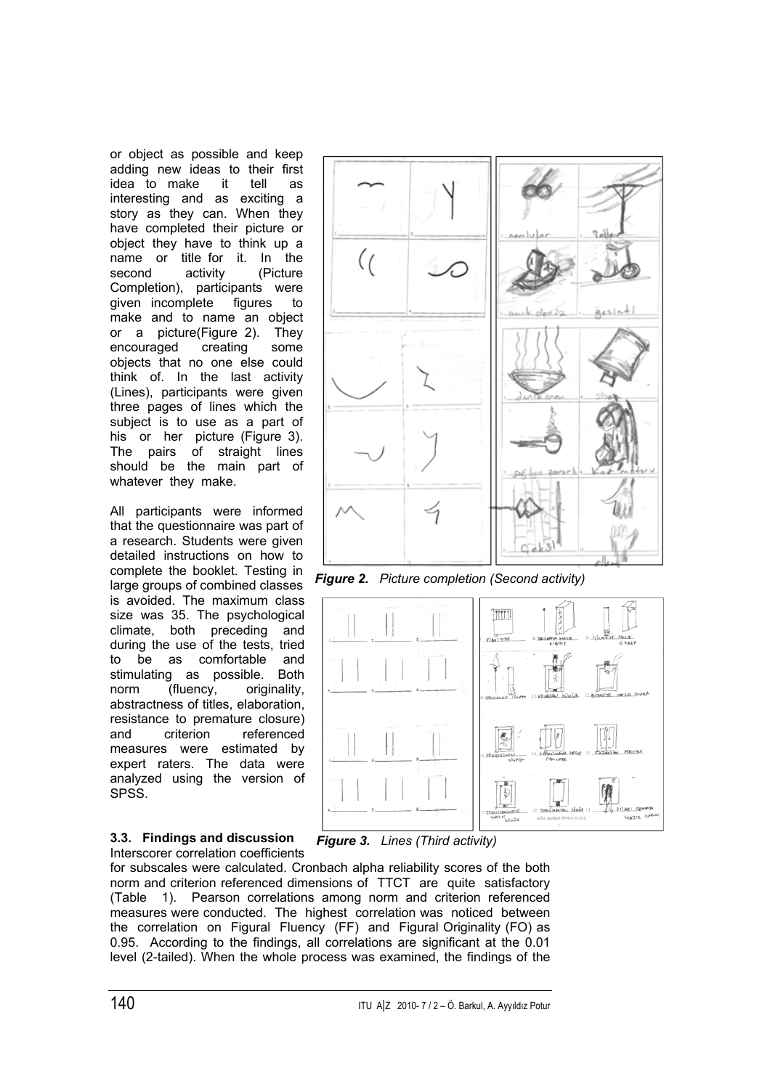or object as possible and keep adding new ideas to their first idea to make it tell as interesting and as exciting a story as they can. When they have completed their picture or object they have to think up a name or title for it. In the second activity (Picture Completion), participants were given incomplete figures to make and to name an object or a picture(Figure 2). They encouraged creating some objects that no one else could think of. In the last activity (Lines), participants were given three pages of lines which the subject is to use as a part of his or her picture (Figure 3). The pairs of straight lines should be the main part of whatever they make.

All participants were informed that the questionnaire was part of a research. Students were given detailed instructions on how to complete the booklet. Testing in large groups of combined classes is avoided. The maximum class size was 35. The psychological climate, both preceding and during the use of the tests, tried to be as comfortable and stimulating as possible. Both norm (fluency, originality, abstractness of titles, elaboration, resistance to premature closure) and criterion referenced measures were estimated by expert raters. The data were analyzed using the version of SPSS.

#### **3.3. Findings and discussion**  Interscorer correlation coefficients



*Figure 2. Picture completion (Second activity)*



*Figure 3. Lines (Third activity)*

for subscales were calculated. Cronbach alpha reliability scores of the both norm and criterion referenced dimensions of TTCT are quite satisfactory (Table 1). Pearson correlations among norm and criterion referenced measures were conducted. The highest correlation was noticed between the correlation on Figural Fluency (FF) and Figural Originality (FO) as 0.95. According to the findings, all correlations are significant at the 0.01 level (2-tailed). When the whole process was examined, the findings of the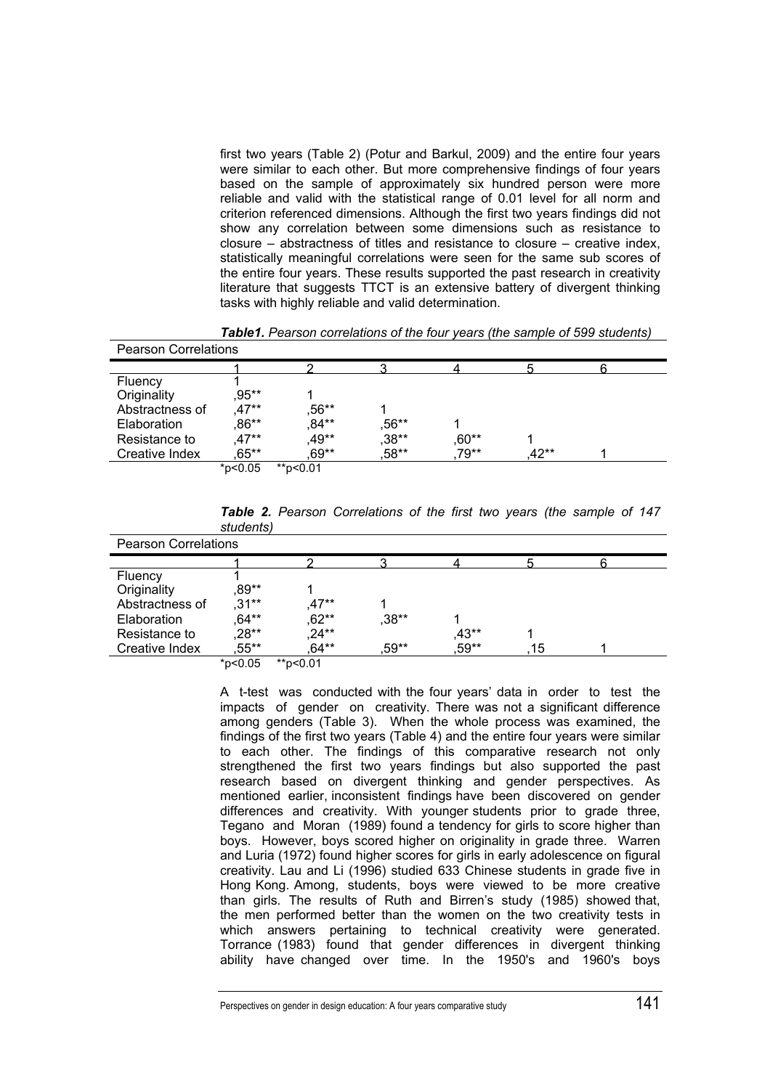first two years (Table 2) (Potur and Barkul, 2009) and the entire four years were similar to each other. But more comprehensive findings of four years based on the sample of approximately six hundred person were more reliable and valid with the statistical range of 0.01 level for all norm and criterion referenced dimensions. Although the first two years findings did not show any correlation between some dimensions such as resistance to closure – abstractness of titles and resistance to closure – creative index, statistically meaningful correlations were seen for the same sub scores of the entire four years. These results supported the past research in creativity literature that suggests TTCT is an extensive battery of divergent thinking tasks with highly reliable and valid determination.

| <b>Pearson Correlations</b> |            |          |         |         |      |  |  |  |
|-----------------------------|------------|----------|---------|---------|------|--|--|--|
|                             |            |          |         |         |      |  |  |  |
| Fluency                     |            |          |         |         |      |  |  |  |
| Originality                 | .95**      |          |         |         |      |  |  |  |
| Abstractness of             | $.47**$    | $,56***$ |         |         |      |  |  |  |
| Elaboration                 | $.86**$    | ,84**    | $,56**$ |         |      |  |  |  |
| Resistance to               | $.47**$    | .49**    | ,38**   | $,60**$ |      |  |  |  |
| Creative Index              | .65**      | .69**    | ,58**   | 79**    | 42** |  |  |  |
|                             | $*$ p<0.05 | **p<0.01 |         |         |      |  |  |  |

*Table1. Pearson correlations of the four years (the sample of 599 students)* 

|           |  | Table 2. Pearson Correlations of the first two years (the sample of 147 |  |  |  |  |  |
|-----------|--|-------------------------------------------------------------------------|--|--|--|--|--|
| students) |  |                                                                         |  |  |  |  |  |

| <b>Pearson Correlations</b> |               |                             |         |         |    |  |  |  |
|-----------------------------|---------------|-----------------------------|---------|---------|----|--|--|--|
|                             |               |                             |         |         |    |  |  |  |
| Fluency                     |               |                             |         |         |    |  |  |  |
| Originality                 | ,89**         |                             |         |         |    |  |  |  |
| Abstractness of             | $.31***$      | $.47**$                     |         |         |    |  |  |  |
| Elaboration                 | 64**          | ,62**                       | $,38**$ |         |    |  |  |  |
| Resistance to               | ,28**         | ,24**                       |         | $,43**$ |    |  |  |  |
| Creative Index              | ,55**         | .64**                       | ,59**   | ,59**   | 15 |  |  |  |
|                             | $*n < n$ $n5$ | $*n$ n $<$ n $\overline{1}$ |         |         |    |  |  |  |

\*p<0.05 \*\*p<0.01

A t-test was conducted with the four years' data in order to test the impacts of gender on creativity. There was not a significant difference among genders (Table 3). When the whole process was examined, the findings of the first two years (Table 4) and the entire four years were similar to each other. The findings of this comparative research not only strengthened the first two years findings but also supported the past research based on divergent thinking and gender perspectives. As mentioned earlier, inconsistent findings have been discovered on gender differences and creativity. With younger students prior to grade three, Tegano and Moran (1989) found a tendency for girls to score higher than boys. However, boys scored higher on originality in grade three. Warren and Luria (1972) found higher scores for girls in early adolescence on figural creativity. Lau and Li (1996) studied 633 Chinese students in grade five in Hong Kong. Among, students, boys were viewed to be more creative than girls. The results of Ruth and Birren's study (1985) showed that, the men performed better than the women on the two creativity tests in which answers pertaining to technical creativity were generated. Torrance (1983) found that gender differences in divergent thinking ability have changed over time. In the 1950's and 1960's boys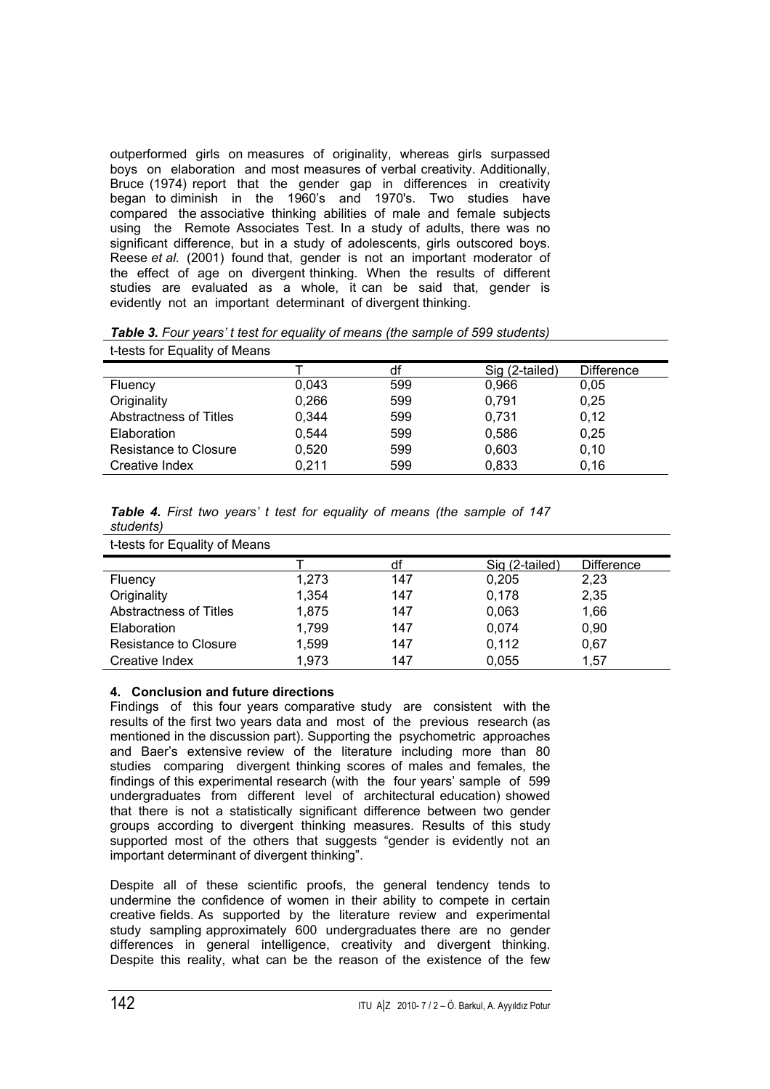outperformed girls on measures of originality, whereas girls surpassed boys on elaboration and most measures of verbal creativity. Additionally, Bruce (1974) report that the gender gap in differences in creativity began to diminish in the 1960's and 1970's. Two studies have compared the associative thinking abilities of male and female subjects using the Remote Associates Test. In a study of adults, there was no significant difference, but in a study of adolescents, girls outscored boys. Reese *et al.* (2001) found that, gender is not an important moderator of the effect of age on divergent thinking. When the results of different studies are evaluated as a whole, it can be said that, gender is evidently not an important determinant of divergent thinking.

*Table 3. Four years' t test for equality of means (the sample of 599 students)*  t-tests for Equality of Means

|                               |       | df  | Sig (2-tailed) | <b>Difference</b> |
|-------------------------------|-------|-----|----------------|-------------------|
| Fluency                       | 0.043 | 599 | 0,966          | 0.05              |
| Originality                   | 0,266 | 599 | 0,791          | 0,25              |
| <b>Abstractness of Titles</b> | 0,344 | 599 | 0,731          | 0,12              |
| Elaboration                   | 0.544 | 599 | 0,586          | 0,25              |
| Resistance to Closure         | 0,520 | 599 | 0,603          | 0,10              |
| Creative Index                | 0.211 | 599 | 0,833          | 0,16              |

| Table 4. First two years' t test for equality of means (the sample of 147 |  |  |  |  |  |
|---------------------------------------------------------------------------|--|--|--|--|--|
| students)                                                                 |  |  |  |  |  |

|  |  | t-tests for Equality of Means |
|--|--|-------------------------------|
|--|--|-------------------------------|

|                               |       | df  | Sig (2-tailed) | <b>Difference</b> |
|-------------------------------|-------|-----|----------------|-------------------|
| Fluency                       | 1,273 | 147 | 0,205          | 2,23              |
| Originality                   | 1,354 | 147 | 0,178          | 2,35              |
| <b>Abstractness of Titles</b> | 1.875 | 147 | 0,063          | 1,66              |
| Elaboration                   | 1,799 | 147 | 0,074          | 0,90              |
| <b>Resistance to Closure</b>  | 1,599 | 147 | 0,112          | 0,67              |
| Creative Index                | 1,973 | 147 | 0,055          | 1,57              |

# **4. Conclusion and future directions**

Findings of this four years comparative study are consistent with the results of the first two years data and most of the previous research (as mentioned in the discussion part). Supporting the psychometric approaches and Baer's extensive review of the literature including more than 80 studies comparing divergent thinking scores of males and females, the findings of this experimental research (with the four years' sample of 599 undergraduates from different level of architectural education) showed that there is not a statistically significant difference between two gender groups according to divergent thinking measures. Results of this study supported most of the others that suggests "gender is evidently not an important determinant of divergent thinking".

Despite all of these scientific proofs, the general tendency tends to undermine the confidence of women in their ability to compete in certain creative fields. As supported by the literature review and experimental study sampling approximately 600 undergraduates there are no gender differences in general intelligence, creativity and divergent thinking. Despite this reality, what can be the reason of the existence of the few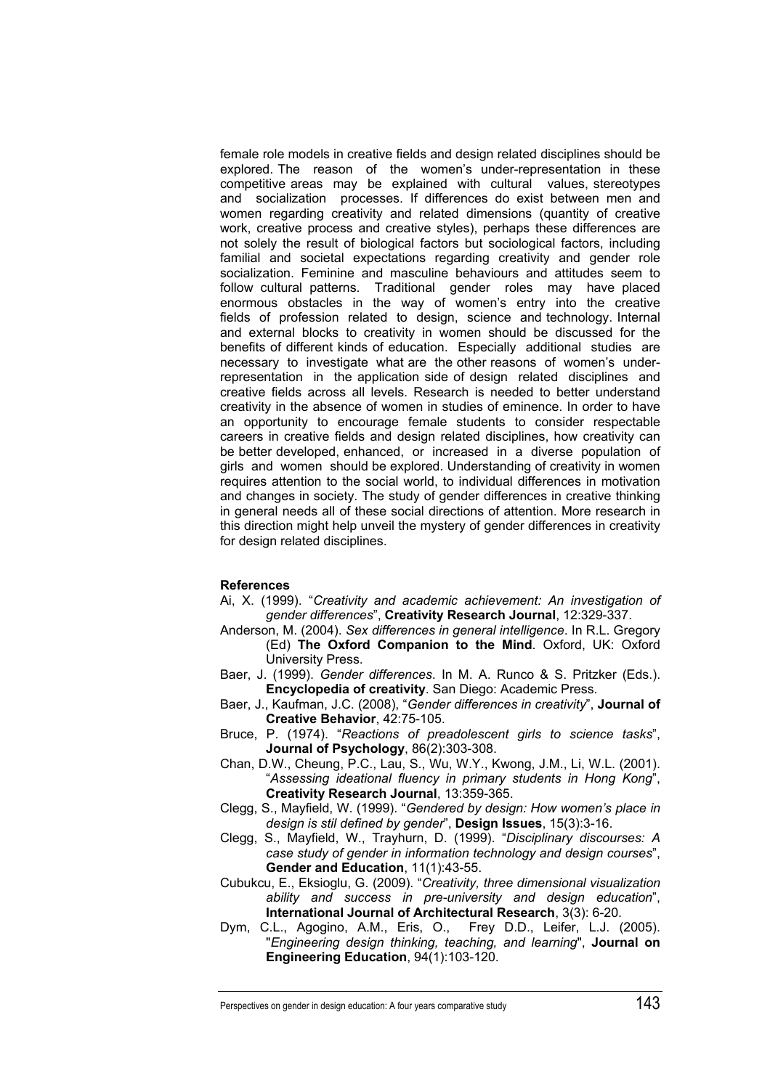female role models in creative fields and design related disciplines should be explored. The reason of the women's under-representation in these competitive areas may be explained with cultural values, stereotypes and socialization processes. If differences do exist between men and women regarding creativity and related dimensions (quantity of creative work, creative process and creative styles), perhaps these differences are not solely the result of biological factors but sociological factors, including familial and societal expectations regarding creativity and gender role socialization. Feminine and masculine behaviours and attitudes seem to follow cultural patterns. Traditional gender roles may have placed enormous obstacles in the way of women's entry into the creative fields of profession related to design, science and technology. Internal and external blocks to creativity in women should be discussed for the benefits of different kinds of education. Especially additional studies are necessary to investigate what are the other reasons of women's underrepresentation in the application side of design related disciplines and creative fields across all levels. Research is needed to better understand creativity in the absence of women in studies of eminence. In order to have an opportunity to encourage female students to consider respectable careers in creative fields and design related disciplines, how creativity can be better developed, enhanced, or increased in a diverse population of girls and women should be explored. Understanding of creativity in women requires attention to the social world, to individual differences in motivation and changes in society. The study of gender differences in creative thinking in general needs all of these social directions of attention. More research in this direction might help unveil the mystery of gender differences in creativity for design related disciplines.

# **References**

- Ai, X. (1999). "*Creativity and academic achievement: An investigation of gender differences*", **Creativity Research Journal**, 12:329-337.
- Anderson, M. (2004). *Sex differences in general intelligence*. In R.L. Gregory (Ed) **The Oxford Companion to the Mind**. Oxford, UK: Oxford University Press.
- Baer, J. (1999). *Gender differences*. In M. A. Runco & S. Pritzker (Eds.). **Encyclopedia of creativity**. San Diego: Academic Press.
- Baer, J., Kaufman, J.C. (2008), "*Gender differences in creativity*", **Journal of Creative Behavior**, 42:75-105.
- Bruce, P. (1974). "*Reactions of preadolescent girls to science tasks*", **Journal of Psychology**, 86(2):303-308.
- Chan, D.W., Cheung, P.C., Lau, S., Wu, W.Y., Kwong, J.M., Li, W.L. (2001). "*Assessing ideational fluency in primary students in Hong Kong*", **Creativity Research Journal**, 13:359-365.
- Clegg, S., Mayfield, W. (1999). "*Gendered by design: How women's place in design is stil defined by gender*", **Design Issues**, 15(3):3-16.
- Clegg, S., Mayfield, W., Trayhurn, D. (1999). "*Disciplinary discourses: A case study of gender in information technology and design courses*", **Gender and Education**, 11(1):43-55.
- Cubukcu, E., Eksioglu, G. (2009). "*Creativity, three dimensional visualization ability and success in pre-university and design education*", **International Journal of Architectural Research**, 3(3): 6-20.
- Dym, C.L., Agogino, A.M., Eris, O., Frey D.D., Leifer, L.J. (2005). "*Engineering design thinking, teaching, and learning*", **Journal on Engineering Education**, 94(1):103-120.

Perspectives on gender in design education: A four years comparative study **143**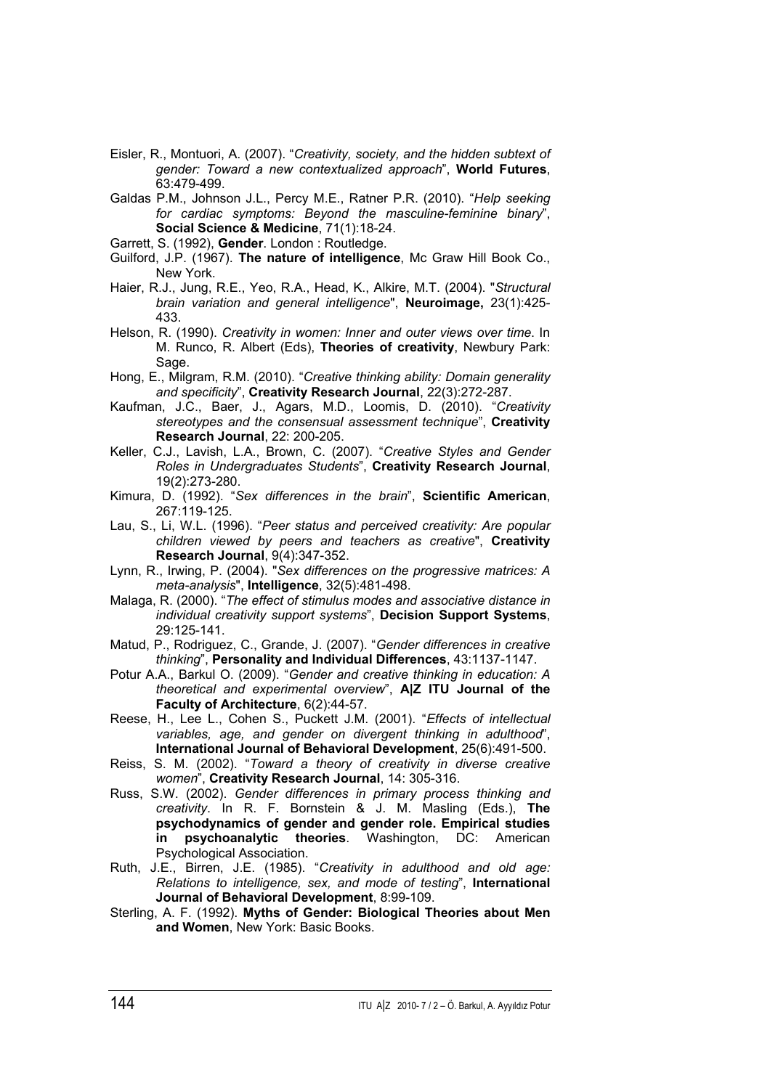- Eisler, R., Montuori, A. (2007). "*Creativity, society, and the hidden subtext of gender: Toward a new contextualized approach*", **World Futures**, 63:479-499.
- Galdas P.M., Johnson J.L., Percy M.E., Ratner P.R. (2010). "*Help seeking for cardiac symptoms: Beyond the masculine-feminine binary*", **Social Science & Medicine**, 71(1):18-24.
- Garrett, S. (1992), **Gender**. London : Routledge.
- Guilford, J.P. (1967). **The nature of intelligence**, Mc Graw Hill Book Co., New York.
- Haier, R.J., Jung, R.E., Yeo, R.A., Head, K., Alkire, M.T. (2004). "*Structural brain variation and general intelligence*", **Neuroimage,** 23(1):425- 433.
- Helson, R. (1990). *Creativity in women: Inner and outer views over time*. In M. Runco, R. Albert (Eds), **Theories of creativity**, Newbury Park: Sage.
- Hong, E., Milgram, R.M. (2010). "*Creative thinking ability: Domain generality and specificity*", **Creativity Research Journal**, 22(3):272-287.
- Kaufman, J.C., Baer, J., Agars, M.D., Loomis, D. (2010). "*Creativity stereotypes and the consensual assessment technique*", **Creativity Research Journal**, 22: 200-205.
- Keller, C.J., Lavish, L.A., Brown, C. (2007). "*Creative Styles and Gender Roles in Undergraduates Students*", **Creativity Research Journal**, 19(2):273-280.
- Kimura, D. (1992). "*Sex differences in the brain*", **Scientific American**, 267:119-125.
- Lau, S., Li, W.L. (1996). "*Peer status and perceived creativity: Are popular children viewed by peers and teachers as creative*", **Creativity Research Journal**, 9(4):347-352.
- Lynn, R., Irwing, P. (2004). "*Sex differences on the progressive matrices: A meta-analysis*", **Intelligence**, 32(5):481-498.
- Malaga, R. (2000). "*The effect of stimulus modes and associative distance in individual creativity support systems*", **Decision Support Systems**, 29:125-141.
- Matud, P., Rodriguez, C., Grande, J. (2007). "*Gender differences in creative thinking*", **Personality and Individual Differences**, 43:1137-1147.
- Potur A.A., Barkul O. (2009). "*Gender and creative thinking in education: A theoretical and experimental overview*", **A|Z ITU Journal of the Faculty of Architecture**, 6(2):44-57.
- Reese, H., Lee L., Cohen S., Puckett J.M. (2001). "*Effects of intellectual variables, age, and gender on divergent thinking in adulthood*", **International Journal of Behavioral Development**, 25(6):491-500.
- Reiss, S. M. (2002). "*Toward a theory of creativity in diverse creative women*", **Creativity Research Journal**, 14: 305-316.
- Russ, S.W. (2002). *Gender differences in primary process thinking and creativity*. In R. F. Bornstein & J. M. Masling (Eds.), **The psychodynamics of gender and gender role. Empirical studies in psychoanalytic theories**. Washington, DC: American Psychological Association.
- Ruth, J.E., Birren, J.E. (1985). "*Creativity in adulthood and old age: Relations to intelligence, sex, and mode of testing*", **International Journal of Behavioral Development**, 8:99-109.
- Sterling, A. F. (1992). **Myths of Gender: Biological Theories about Men and Women**, New York: Basic Books.